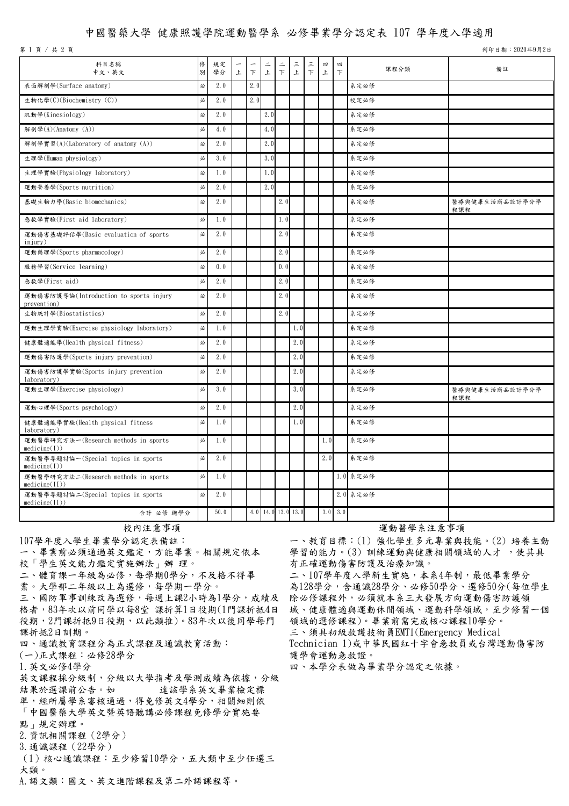# 中國醫藥大學 健康照護學院運動醫學系 必修畢業學分認定表 107 學年度入學適用

第 1 頁 / 共 2 頁

列印日期:2020年9月2日

| 科目名稱<br>中文、英文                                         | 俢<br>別 | 規定<br>學分 | 上 | $\top$ | 드<br>上             | 드<br>$\top$ | 三<br>上 | $\tilde{=}$<br>$\top$ | 四<br>上 | 四<br>$\top$ | 課程分類     | 備註                    |
|-------------------------------------------------------|--------|----------|---|--------|--------------------|-------------|--------|-----------------------|--------|-------------|----------|-----------------------|
| 表面解剖學(Surface anatomy)                                | 必      | 2.0      |   | 2.0    |                    |             |        |                       |        |             | 系定必修     |                       |
| 生物化學(C)(Biochemistry (C))                             | 必      | 2.0      |   | 2.0    |                    |             |        |                       |        |             | 校定必修     |                       |
| 肌動學(Kinesiology)                                      | 必      | 2.0      |   |        | 2.0                |             |        |                       |        |             | 系定必修     |                       |
| 解剖學(A)(Anatomy (A))                                   | 必      | 4.0      |   |        | 4.0                |             |        |                       |        |             | 系定必修     |                       |
| 解剖學實習(A)(Laboratory of anatomy (A))                   | 必      | 2.0      |   |        | 2.0                |             |        |                       |        |             | 系定必修     |                       |
| 生理學(Human physiology)                                 | 必      | 3.0      |   |        | 3.0                |             |        |                       |        |             | 系定必修     |                       |
| 生理學實驗(Physiology laboratory)                          | 必      | 1.0      |   |        | 1.0                |             |        |                       |        |             | 系定必修     |                       |
| 運動營養學(Sports nutrition)                               | 必      | 2.0      |   |        | 2.0                |             |        |                       |        |             | 系定必修     |                       |
| 基礎生物力學(Basic biomechanics)                            | 必      | 2.0      |   |        |                    | 2.0         |        |                       |        |             | 系定必修     | 醫療與健康生活商品設計學分學<br>程課程 |
| 急救學實驗(First aid laboratory)                           | 必      | 1.0      |   |        |                    | 1.0         |        |                       |        |             | 系定必修     |                       |
| 運動傷害基礎評估學(Basic evaluation of sports<br>injury)       | 必      | 2.0      |   |        |                    | 2.0         |        |                       |        |             | 系定必修     |                       |
| 運動藥理學(Sports pharmacology)                            | 必      | 2.0      |   |        |                    | 2.0         |        |                       |        |             | 系定必修     |                       |
| 服務學習(Service learning)                                | 必      | 0.0      |   |        |                    | 0.0         |        |                       |        |             | 系定必修     |                       |
| 急救學(First aid)                                        | 必      | 2.0      |   |        |                    | 2.0         |        |                       |        |             | 系定必修     |                       |
| 運動傷害防護導論(Introduction to sports injury<br>prevention) | 必      | 2.0      |   |        |                    | 2.0         |        |                       |        |             | 系定必修     |                       |
| 生物統計學(Biostatistics)                                  | 必      | 2.0      |   |        |                    | 2.0         |        |                       |        |             | 系定必修     |                       |
| 運動生理學實驗(Exercise physiology laboratory)               | 必      | 1.0      |   |        |                    |             | 1.0    |                       |        |             | 系定必修     |                       |
| 健康體適能學(Health physical fitness)                       | 必      | 2.0      |   |        |                    |             | 2.0    |                       |        |             | 系定必修     |                       |
| 運動傷害防護學(Sports injury prevention)                     | 必      | 2.0      |   |        |                    |             | 2.0    |                       |        |             | 系定必修     |                       |
| 運動傷害防護學實驗(Sports injury prevention<br>laboratory)     | 必      | 2.0      |   |        |                    |             | 2.0    |                       |        |             | 系定必修     |                       |
| 運動生理學(Exercise physiology)                            | 必      | 3.0      |   |        |                    |             | 3.0    |                       |        |             | 系定必修     | 醫療與健康生活商品設計學分學<br>程課程 |
| 運動心理學(Sports psychology)                              | 必      | 2.0      |   |        |                    |             | 2.0    |                       |        |             | 系定必修     |                       |
| 健康體適能學實驗(Health physical fitness<br>laboratory)       | 必      | 1.0      |   |        |                    |             | 1.0    |                       |        |             | 系定必修     |                       |
| 運動醫學研究方法一(Research methods in sports<br>medicine(I))  | 必      | 1.0      |   |        |                    |             |        |                       | 1.0    |             | 系定必修     |                       |
| 運動醫學專題討論一(Special topics in sports<br>medicine(I))    | 必      | 2.0      |   |        |                    |             |        |                       | 2.0    |             | 系定必修     |                       |
| 運動醫學研究方法二(Research methods in sports<br>medicine(II)) | 必      | 1.0      |   |        |                    |             |        |                       |        |             | 1.0 系定必修 |                       |
| 運動醫學專題討論二(Special topics in sports<br>medicine(II)    | 必      | 2.0      |   |        |                    |             |        |                       |        |             | 2.0 系定必修 |                       |
| 合計 必修 總學分                                             |        | 50.0     |   |        | 4.0 14.0 13.0 13.0 |             |        |                       |        | $3.0 \ 3.0$ |          |                       |

107學年度入學生畢業學分認定表備註:

一、畢業前必須通過英文鑑定,方能畢業。相關規定依本

- 校「學生英文能力鑑定實施辦法」辦 理。
- 二、體育課一年級為必修,每學期0學分,不及格不得畢

業。大學部二年級以上為選修,每學期一學分。

三、國防軍事訓練改為選修,每週上課2小時為1學分,成績及 格者,83年次以前同學以每8堂 課折算1日役期(1門課折抵4日 役期,2門課折抵9日役期,以此類推)。83年次以後同學每門 課折抵2日訓期。

四、通識教育課程分為正式課程及通識教育活動:

(一)正式課程:必修28學分

1.英文必修4學分

英文課程採分級制,分級以大學指考及學測成績為依據,分級 結果於選課前公告。如 達該學系英文畢業檢定標

準,經所屬學系審核通過,得免修英文4學分,相關細則依<br>「中國醫藥大學英文暨英語聽講必修課程免修學分實施要 點」規定辦理。

2.資訊相關課程(2學分)

3.通識課程(22學分)

(1)核心通識課程:至少修習10學分,五大類中至少任選三 大類。

A.語文類:國文、英文進階課程及第二外語課程等。

## 校內注意事項 きょうきょう しょうしゃ こうしょう こうこう 運動醫學系注意事項

一、教育目標:(1) 強化學生多元專業與技能。(2) 培養主動 學習的能力。(3) 訓練運動與健康相關領域的人才,使其具 有正確運動傷害防護及治療知識。

二、107學年度入學新生實施,本系4年制,最低畢業學分 為128學分,含通識28學分、必修50學分、選修50分(每位學生 除必修課程外,必須就本系三大發展方向運動傷害防護領 域、健康體適與運動休閒領域、運動科學領域,至少修習一個 領域的選修課程)。畢業前需完成核心課程10學分。 三、須具初級救護技術員EMT1(Emergency Medical

Technician 1)或中華民國紅十字會急救員或台灣運動傷害防 護學會運動急救證。

四、本學分表做為畢業學分認定之依據。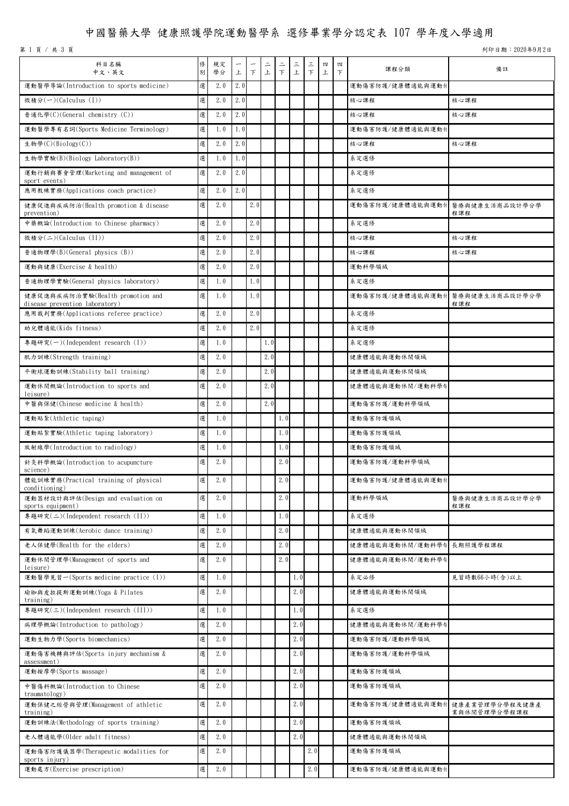# 中國醫藥大學 健康照護學院運動醫學系 選修畢業學分認定表 107 學年度入學適用

第 1 頁 / 共 3 頁

列印日期:2020年9月2日

| 科目名稱                                                               | 俢 | 規定  |     |        | 二     | $\tilde{=}$ | 三   | 三      | 四 | 四 | 課程分類                            | 備註                             |
|--------------------------------------------------------------------|---|-----|-----|--------|-------|-------------|-----|--------|---|---|---------------------------------|--------------------------------|
| 中文、英文                                                              | 別 | 學分  | 上   | $\top$ | $\pm$ | $\top$      | 上   | $\top$ | 上 | F |                                 |                                |
| 運動醫學導論(Introduction to sports medicine)                            | 選 | 2.0 | 2.0 |        |       |             |     |        |   |   | 運動傷害防護/健康體適能與運動か                |                                |
| 微積分(一)(Calculus (I))                                               | 選 | 2.0 | 2.0 |        |       |             |     |        |   |   | 核心課程                            | 核心課程                           |
| 普通化學(C)(General chemistry (C))                                     | 選 | 2.0 | 2.0 |        |       |             |     |        |   |   | 核心課程                            | 核心課程                           |
| 運動醫學專有名詞(Sports Medicine Terminology)                              | 選 | 1.0 | 1.0 |        |       |             |     |        |   |   | 運動傷害防護/健康體適能與運動か                |                                |
| 生物學(C)(Biology(C))                                                 | 選 | 2.0 | 2.0 |        |       |             |     |        |   |   | 核心課程                            | 核心課程                           |
| 生物學實驗(B)(Biology Laboratory(B))                                    | 選 | 1.0 | 1.0 |        |       |             |     |        |   |   | 系定選修                            |                                |
| 運動行銷與賽會管理(Marketing and management of<br>sport events)             | 選 | 2.0 | 2.0 |        |       |             |     |        |   |   | 系定選修                            |                                |
| 應用教練實務(Applications coach practice)                                | 選 | 2.0 | 2.0 |        |       |             |     |        |   |   | 系定選修                            |                                |
| 健康促進與疾病防治(Health promotion & disease<br>prevention)                | 選 | 2.0 |     | 2.0    |       |             |     |        |   |   | 運動傷害防護/健康體適能與運動か                | 醫療與健康生活商品設計學分學<br>程課程          |
| 中藥概論(Introduction to Chinese pharmacy)                             | 選 | 2.0 |     | 2.0    |       |             |     |        |   |   | 系定選修                            |                                |
| 微積分(二)(Calculus (II))                                              | 選 | 2.0 |     | 2.0    |       |             |     |        |   |   | 核心課程                            | 核心課程                           |
| 普通物理學(B)(General physics (B))                                      | 選 | 2.0 |     | 2.0    |       |             |     |        |   |   | 核心課程                            | 核心課程                           |
| 運動與健康(Exercise & health)                                           | 選 | 2.0 |     | 2.0    |       |             |     |        |   |   | 運動科學領域                          |                                |
| 普通物理學實驗(General physics laboratory)                                | 選 | 1.0 |     | 1.0    |       |             |     |        |   |   | 系定選修                            |                                |
| 健康促進與疾病防治實驗(Health promotion and<br>disease prevention laboratory) | 選 | 1.0 |     | 1.0    |       |             |     |        |   |   | 運動傷害防護/健康體適能與運動4 醫療與健康生活商品設計學分學 | 程課程                            |
| 應用裁判實務(Applications referee practice)                              | 選 | 2.0 |     | 2.0    |       |             |     |        |   |   | 系定選修                            |                                |
| 幼兒體適能(Kids fitness)                                                | 選 | 2.0 |     | 2.0    |       |             |     |        |   |   | 系定選修                            |                                |
| 專題研究(一)(Independent research (I))                                  | 選 | 1.0 |     |        | 1.0   |             |     |        |   |   | 系定選修                            |                                |
| 肌力訓練(Strength training)                                            | 選 | 2.0 |     |        | 2.0   |             |     |        |   |   | 健康體適能與運動休閒領域                    |                                |
| 平衡球運動訓練(Stability ball training)                                   | 選 | 2.0 |     |        | 2.0   |             |     |        |   |   | 健康體適能與運動休閒領域                    |                                |
| 運動休閒概論(Introduction to sports and<br>leisure)                      | 選 | 2.0 |     |        | 2.0   |             |     |        |   |   | 健康體適能與運動休閒/運動科學令                |                                |
| 中醫與保健(Chinese medicine & health)                                   | 選 | 2.0 |     |        | 2.0   |             |     |        |   |   | 運動傷害防護/運動科學領域                   |                                |
| 運動貼紮(Athletic taping)                                              | 選 | 1.0 |     |        |       | 1.0         |     |        |   |   | 運動傷害防護領域                        |                                |
| 運動貼紮實驗(Athletic taping laboratory)                                 | 選 | 1.0 |     |        |       | 1.0         |     |        |   |   | 運動傷害防護領域                        |                                |
| 放射線學(Introduction to radiology)                                    | 選 | 1.0 |     |        |       | 1.0         |     |        |   |   | 運動傷害防護領域                        |                                |
| 針灸科學概論(Introduction to acupuncture<br>science)                     | 選 | 2.0 |     |        |       | 2.0         |     |        |   |   | 運動傷害防護/運動科學領域                   |                                |
| 體能訓練實務(Practical training of physical<br>$\text{conditioning}$ )   | 選 | 2.0 |     |        |       | 2.0         |     |        |   |   | 運動傷害防護/健康體適能與運動か                |                                |
| 運動器材設計與評估(Design and evaluation on<br>sports equipment)            | 選 | 2.0 |     |        |       | 2.0         |     |        |   |   | 運動科學領域                          | 醫療與健康生活商品設計學分學<br>程課程          |
| 專題研究(二)(Independent research (II))                                 | 選 | 1.0 |     |        |       | 1.0         |     |        |   |   | 系定選修                            |                                |
| 有氧舞蹈運動訓練(Aerobic dance training)                                   | 選 | 2.0 |     |        |       | 2.0         |     |        |   |   | 健康體適能與運動休閒領域                    |                                |
| 老人保健學(Health for the elders)                                       | 選 | 2.0 |     |        |       | 2.0         |     |        |   |   | 健康體適能與運動休閒/運動科學令                | 長期照護學程課程                       |
| 運動休閒管理學(Management of sports and<br>leisure)                       | 選 | 2.0 |     |        |       | 2.0         |     |        |   |   | 健康體適能與運動休閒/運動科學令                |                                |
| 運動醫學見習一(Sports medicine practice (I))                              | 選 | 1.0 |     |        |       |             | 1.0 |        |   |   | 系定必修                            | 見習時數66小時(含)以上                  |
| 瑜珈與皮拉提斯運動訓練(Yoga & Pilates<br>training)                            | 選 | 2.0 |     |        |       |             | 2.0 |        |   |   | 健康體適能與運動休閒領域                    |                                |
| 專題研究(三)(Independent research (III))                                | 選 | 1.0 |     |        |       |             | 1.0 |        |   |   | 系定選修                            |                                |
| 病理學概論(Introduction to pathology)                                   | 選 | 2.0 |     |        |       |             | 2.0 |        |   |   | 健康體適能與運動休閒/運動科學令                |                                |
| 運動生物力學(Sports biomechanics)                                        | 選 | 2.0 |     |        |       |             | 2.0 |        |   |   | 運動傷害防護/運動科學領域                   |                                |
| 運動傷害機轉與評估(Sports injury mechanism &<br>assessment)                 | 選 | 2.0 |     |        |       |             | 2.0 |        |   |   | 運動傷害防護/運動科學領域                   |                                |
| 運動按摩學(Sports massage)                                              | 選 | 2.0 |     |        |       |             | 2.0 |        |   |   | 運動傷害防護領域                        |                                |
| 中醫傷科概論(Introduction to Chinese<br>traumatology)                    | 選 | 2.0 |     |        |       |             | 2.0 |        |   |   | 運動傷害防護領域                        |                                |
| 運動保健之經營與管理(Management of athletic<br>training)                     | 選 | 2.0 |     |        |       |             | 2.0 |        |   |   | 運動傷害防護/健康體適能與運動作                | 健康產業管理學分學程及健康產<br>業與休閒管理學分學程課程 |
| 運動訓練法(Methodology of sports training)                              | 選 | 2.0 |     |        |       |             | 2.0 |        |   |   | 運動傷害防護領域                        |                                |
| 老人體適能學(Older adult fitness)                                        | 選 | 2.0 |     |        |       |             | 2.0 |        |   |   | 健康體適能與運動休閒領域                    |                                |
| 運動傷害防護儀器學(Therapeutic modalities for<br>sports injury)             | 選 | 2.0 |     |        |       |             |     | 2.0    |   |   | 運動傷害防護領域                        |                                |
| 運動處方(Exercise prescription)                                        | 選 | 2.0 |     |        |       |             |     | 2.0    |   |   | 運動傷害防護/健康體適能與運動か                |                                |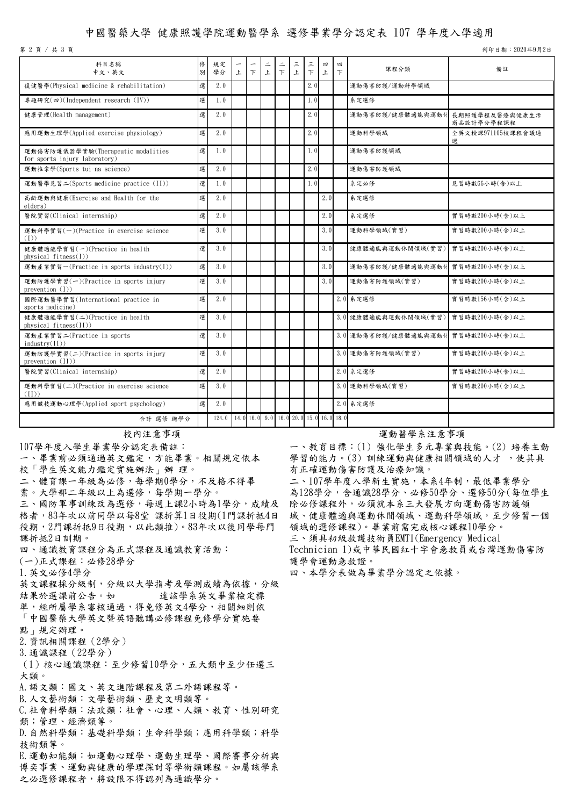## 中國醫藥大學 健康照護學院運動醫學系 選修畢業學分認定表 107 學年度入學適用

第 2 頁 / 共 3 頁

列印日期:2020年9月2日

| 科目名稱<br>中文、英文                                                       | 俢<br>別 | 規定<br>學分 | 上 | F                                        | 上 | $\top$ | 三<br>上 | 三<br>$\mathcal{F}$ | 四<br>上 | 四<br>$\top$ | 課程分類                 | 備註                           |
|---------------------------------------------------------------------|--------|----------|---|------------------------------------------|---|--------|--------|--------------------|--------|-------------|----------------------|------------------------------|
| 復健醫學(Physical medicine & rehabilitation)                            | 選      | 2.0      |   |                                          |   |        |        | 2.0                |        |             | 運動傷害防護/運動科學領域        |                              |
| 專題研究(四)(Independent research (IV))                                  | 選      | 1.0      |   |                                          |   |        |        | 1.0                |        |             | 系定選修                 |                              |
| 健康管理(Health management)                                             | 選      | 2.0      |   |                                          |   |        |        | 2.0                |        |             | 運動傷害防護/健康體適能與運動4     | 長期照護學程及醫療與健康生活<br>商品設計學分學程課程 |
| 應用運動生理學(Applied exercise physiology)                                | 選      | 2.0      |   |                                          |   |        |        | 2.0                |        |             | 運動科學領域               | 全英文授課971105校課程會議通<br>過       |
| 運動傷害防護儀器學實驗(Therapeutic modalities<br>for sports injury laboratory) | 選      | 1.0      |   |                                          |   |        |        | 1.0                |        |             | 運動傷害防護領域             |                              |
| 運動推拿學(Sports tui-na science)                                        | 選      | 2.0      |   |                                          |   |        |        | 2.0                |        |             | 運動傷害防護領域             |                              |
| 運動醫學見習二(Sports medicine practice (II))                              | 選      | 1.0      |   |                                          |   |        |        | 1.0                |        |             | 系定必修                 | 見習時數66小時(含)以上                |
| 高齢運動與健康(Exercise and Health for the<br>elders)                      | 選      | 2.0      |   |                                          |   |        |        |                    | 2.0    |             | 系定選修                 |                              |
| 醫院實習(Clinical internship)                                           | 選      | 2.0      |   |                                          |   |        |        |                    | 2.0    |             | 系定選修                 | 實習時數200小時(含)以上               |
| 運動科學實習(一)(Practice in exercise science<br>(I))                      | 選      | 3.0      |   |                                          |   |        |        |                    | 3.01   |             | 運動科學領域(實習)           | 實習時數200小時(含)以上               |
| 健康體適能學實習(一)(Practice in health<br>physical $fitness(I)$ )           | 選      | 3.0      |   |                                          |   |        |        |                    | 3.0    |             | 健康體適能與運動休閒領域(實習)     | 實習時數200小時(含)以上               |
| 運動產業實習一(Practice in sports industry(I))                             | 選      | 3.0      |   |                                          |   |        |        |                    | 3.0    |             | 運動傷害防護/健康體適能與運動4     | 實習時數200小時(含)以上               |
| 運動防護學實習(一)(Practice in sports injury<br>prevention $(I)$ )          | 選      | 3.0      |   |                                          |   |        |        |                    | 3.0    |             | 運動傷害防護領域(實習)         | 實習時數200小時(含)以上               |
| 國際運動醫學實習(International practice in<br>sports medicine)              | 選      | 2.0      |   |                                          |   |        |        |                    |        |             | 2.0 系定選修             | 實習時數156小時(含)以上               |
| 健康體適能學實習(二)(Practice in health<br>physical $fitness(II)$            | 選      | 3.0      |   |                                          |   |        |        |                    |        |             | 3.0 健康體適能與運動休閒領域(實習) | 實習時數200小時(含)以上               |
| 運動產業實習二(Practice in sports<br>industry(II))                         | 選      | 3.0      |   |                                          |   |        |        |                    |        |             | 3.0 運動傷害防護/健康體適能與運動化 | 實習時數200小時(含)以上               |
| 運動防護學實習(二)(Practice in sports injury<br>prevention $(II)$ )         | 選      | 3.0      |   |                                          |   |        |        |                    |        |             | 3.0 運動傷害防護領域(實習)     | 實習時數200小時(含)以上               |
| 醫院實習(Clinical internship)                                           | 選      | 2.0      |   |                                          |   |        |        |                    |        |             | 2.0 系定選修             | 實習時數200小時(含)以上               |
| 運動科學實習(二)(Practice in exercise science<br>(II)                      | 選      | 3.0      |   |                                          |   |        |        |                    |        |             | 3.0 運動科學領域(實習)       | 實習時數200小時(含)以上               |
| 應用競技運動心理學(Applied sport psychology)                                 | 選      | 2.0      |   |                                          |   |        |        |                    |        |             | 2.0 系定選修             |                              |
| 合計 選修 總學分                                                           |        | 124.0    |   | $14.0$ 16.0 9.0 16.0 20.0 15.0 16.0 18.0 |   |        |        |                    |        |             |                      |                              |

107學年度入學生畢業學分認定表備註:

一、畢業前必須通過英文鑑定,方能畢業。相關規定依本

校「學生英文能力鑑定實施辦法」辦 理。

二、體育課一年級為必修,每學期0學分,不及格不得畢

業。大學部二年級以上為選修,每學期一學分。

三、國防軍事訓練改為選修,每週上課2小時為1學分,成績及 格者,83年次以前同學以每8堂 課折算1日役期(1門課折抵4日 役期, 2門課折抵9日役期, 以此類推)。83年次以後同學每門 課折抵2日訓期。

四、通識教育課程分為正式課程及通識教育活動:

(一)正式課程:必修28學分

1.英文必修4學分

英文課程採分級制,分級以大學指考及學測成績為依據,分級

結果於選課前公告。如 達該學系英文畢業檢定標

準,經所屬學系審核通過,得免修英文4學分,相關細則依<br>「中國醫藥大學英文暨英語聽講必修課程免修學分實施要

點」規定辦理。

2.資訊相關課程(2學分)

3.通識課程(22學分)

(1)核心通識課程:至少修習10學分,五大類中至少任選三 大類。

A.語文類:國文、英文進階課程及第二外語課程等。

B.人文藝術類:文學藝術類、歷史文明類等。

C.社會科學類:法政類;社會、心理、人類、教育、性別研究 類;管理、經濟類等。

D.自然科學類:基礎科學類;生命科學類;應用科學類;科學 技術類等。

E.運動知能類:如運動心理學、運動生理學、國際賽事分析與 博奕事業、運動與健康的學理探討等學術類課程。如屬該學系 之必選修課程者,將設限不得認列為通識學分。

### 校內注意事項 おおもの こうしゃ こうしゃ こうしゃ おおや きょうきょう おおやま きょうかい こうしゅう

一、教育目標:(1) 強化學生多元專業與技能。(2) 培養主動 學習的能力。(3) 訓練運動與健康相關領域的人才 , 使其具 有正確運動傷害防護及治療知識。

二、107學年度入學新生實施,本系4年制,最低畢業學分 為128學分,含通識28學分、必修50學分、選修50分(每位學生 除必修課程外,必須就本系三大發展方向運動傷害防護領 域、健康體適與運動休閒領域、運動科學領域,至少修習一個 領域的選修課程)。畢業前需完成核心課程10學分。 三、須具初級救護技術員EMT1(Emergency Medical

Technician 1)或中華民國紅十字會急救員或台灣運動傷害防 護學會運動急救證。

四、本學分表做為畢業學分認定之依據。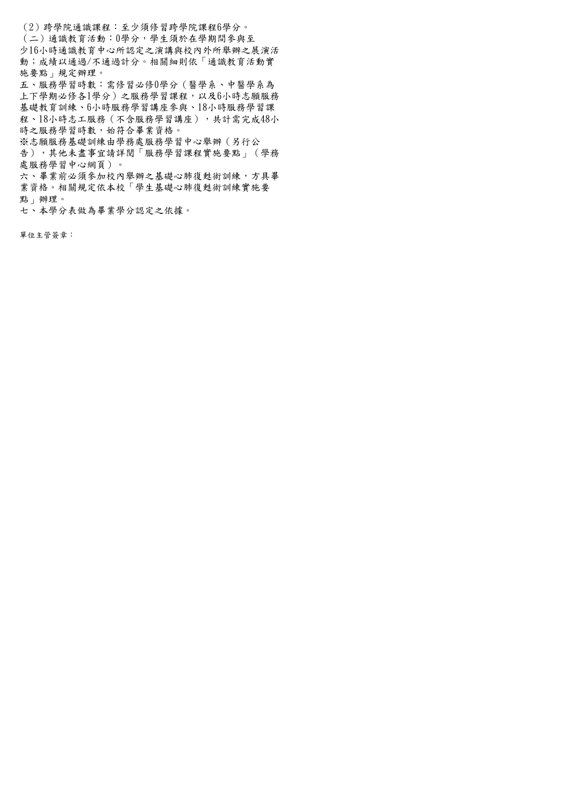(2)跨學院通識課程:至少須修習跨學院課程6學分。 (二)通識教育活動:0學分,學生須於在學期間參與至 少16小時通識教育中心所認定之演講與校內外所舉辦之展演活 動;成績以通過/不通過計分。相關細則依「通識教育活動實 施要點」規定辦理。

五、服務學習時數:需修習必修0學分(醫學系、中醫學系為 上下學期必修各1學分)之服務學習課程,以及6小時志願服務 基礎教育訓練、6小時服務學習講座參與、18小時服務學習課 程、18小時志工服務(不含服務學習講座),共計需完成48小 時之服務學習時數,始符合畢業資格。

※志願服務基礎訓練由學務處服務學習中心舉辦(另行公

告),其他未盡事宜請詳閱「服務學習課程實施要點」(學務 處服務學習中心網頁)。

六、畢業前必須參加校內舉辦之基礎心肺復甦術訓練,方具畢 業資格。相關規定依本校「學生基礎心肺復甦術訓練實施要 點」辦理。

七、本學分表做為畢業學分認定之依據。

單位主管簽章: